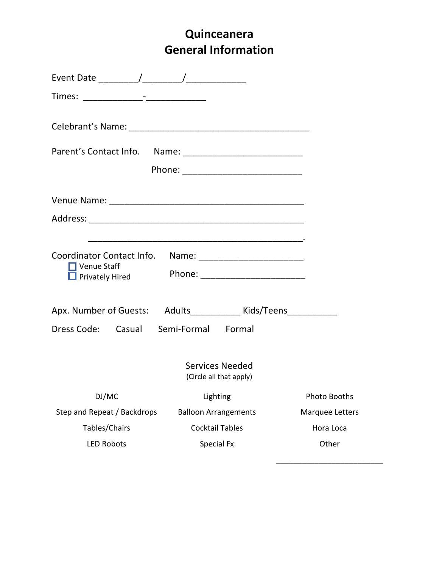## **Quinceanera General Information**

| Coordinator Contact Info. Name: ____________________________<br>$\Box$ Venue Staff<br>Privately Hired |                                                   |                 |  |  |  |
|-------------------------------------------------------------------------------------------------------|---------------------------------------------------|-----------------|--|--|--|
| Apx. Number of Guests: Adults_______________ Kids/Teens_____________                                  |                                                   |                 |  |  |  |
| Dress Code: Casual Semi-Formal Formal                                                                 |                                                   |                 |  |  |  |
|                                                                                                       | <b>Services Needed</b><br>(Circle all that apply) |                 |  |  |  |
| DJ/MC                                                                                                 | Lighting                                          | Photo Booths    |  |  |  |
| Step and Repeat / Backdrops                                                                           | <b>Balloon Arrangements</b>                       | Marquee Letters |  |  |  |
| Tables/Chairs                                                                                         | <b>Cocktail Tables</b>                            | Hora Loca       |  |  |  |
| <b>LED Robots</b><br>Other<br>Special Fx                                                              |                                                   |                 |  |  |  |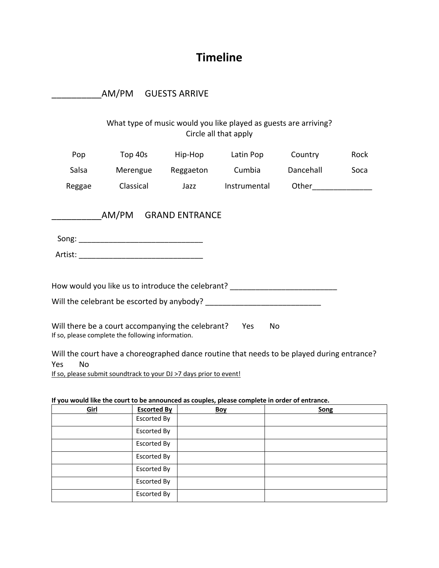## **Timeline**

|                  | AM/PM GUESTS ARRIVE                               |                                                                                         |                                                                                            |           |      |
|------------------|---------------------------------------------------|-----------------------------------------------------------------------------------------|--------------------------------------------------------------------------------------------|-----------|------|
|                  |                                                   |                                                                                         | What type of music would you like played as guests are arriving?<br>Circle all that apply  |           |      |
| Pop              |                                                   |                                                                                         | Top 40s Hip-Hop Latin Pop Country                                                          |           | Rock |
| Salsa            |                                                   |                                                                                         | Merengue Reggaeton Cumbia                                                                  | Dancehall | Soca |
| Reggae           | <b>Classical</b>                                  |                                                                                         | Jazz Instrumental Other                                                                    |           |      |
|                  |                                                   |                                                                                         |                                                                                            |           |      |
|                  |                                                   |                                                                                         | How would you like us to introduce the celebrant? ______________________________           |           |      |
|                  |                                                   |                                                                                         |                                                                                            |           |      |
|                  | If so, please complete the following information. | Will there be a court accompanying the celebrant? Yes                                   | No                                                                                         |           |      |
| <b>No</b><br>Yes |                                                   | a a contracto a computer a la provincia e la Filippia de la contrata de la contrata del | Will the court have a choreographed dance routine that needs to be played during entrance? |           |      |

If so, please submit soundtrack to your DJ >7 days prior to event!

## **If you would like the court to be announced as couples, please complete in order of entrance.**

| Girl | <b>Escorted By</b> | <b>Boy</b> | Song |
|------|--------------------|------------|------|
|      | <b>Escorted By</b> |            |      |
|      | Escorted By        |            |      |
|      | Escorted By        |            |      |
|      | Escorted By        |            |      |
|      | Escorted By        |            |      |
|      | <b>Escorted By</b> |            |      |
|      | Escorted By        |            |      |